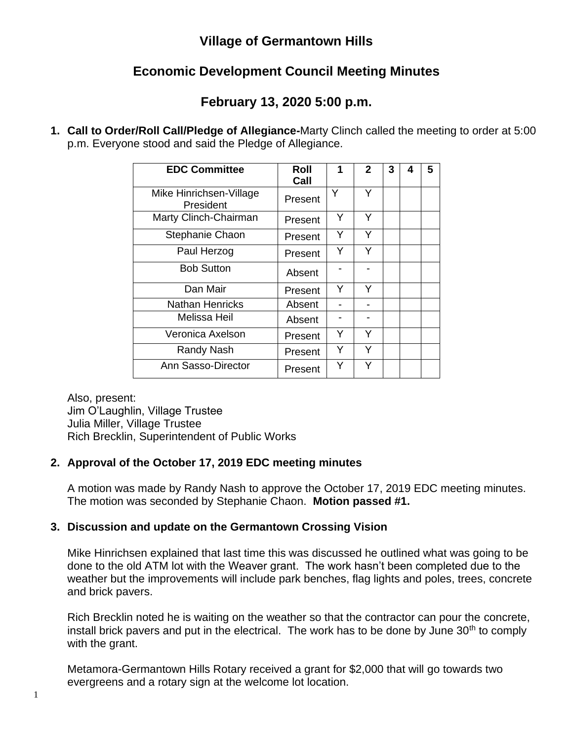## **Village of Germantown Hills**

# **Economic Development Council Meeting Minutes**

## **February 13, 2020 5:00 p.m.**

**1. Call to Order/Roll Call/Pledge of Allegiance-**Marty Clinch called the meeting to order at 5:00 p.m. Everyone stood and said the Pledge of Allegiance.

| <b>EDC Committee</b>                 | Roll<br>Call | 1 | $\mathbf{2}$ | 3 | 4 | 5 |
|--------------------------------------|--------------|---|--------------|---|---|---|
| Mike Hinrichsen-Village<br>President | Present      | Y | Y            |   |   |   |
| Marty Clinch-Chairman                | Present      | Y | Υ            |   |   |   |
| Stephanie Chaon                      | Present      | Y | Υ            |   |   |   |
| Paul Herzog                          | Present      | Y | Υ            |   |   |   |
| <b>Bob Sutton</b>                    | Absent       |   |              |   |   |   |
| Dan Mair                             | Present      | Y | Y            |   |   |   |
| <b>Nathan Henricks</b>               | Absent       |   |              |   |   |   |
| Melissa Heil                         | Absent       |   |              |   |   |   |
| Veronica Axelson                     | Present      | Y | Y            |   |   |   |
| Randy Nash                           | Present      | Y | Y            |   |   |   |
| Ann Sasso-Director                   | Present      | Y | Y            |   |   |   |

Also, present: Jim O'Laughlin, Village Trustee Julia Miller, Village Trustee Rich Brecklin, Superintendent of Public Works

## **2. Approval of the October 17, 2019 EDC meeting minutes**

A motion was made by Randy Nash to approve the October 17, 2019 EDC meeting minutes. The motion was seconded by Stephanie Chaon. **Motion passed #1.**

## **3. Discussion and update on the Germantown Crossing Vision**

Mike Hinrichsen explained that last time this was discussed he outlined what was going to be done to the old ATM lot with the Weaver grant. The work hasn't been completed due to the weather but the improvements will include park benches, flag lights and poles, trees, concrete and brick pavers.

Rich Brecklin noted he is waiting on the weather so that the contractor can pour the concrete, install brick pavers and put in the electrical. The work has to be done by June  $30<sup>th</sup>$  to comply with the grant.

Metamora-Germantown Hills Rotary received a grant for \$2,000 that will go towards two evergreens and a rotary sign at the welcome lot location.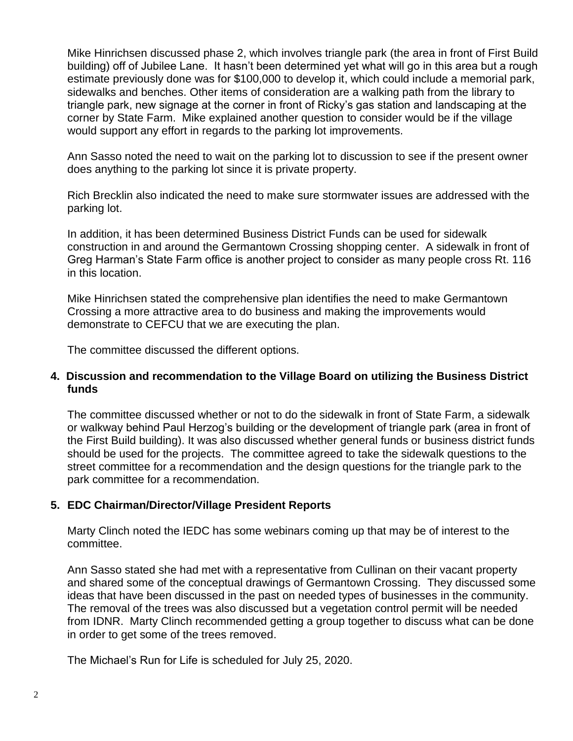Mike Hinrichsen discussed phase 2, which involves triangle park (the area in front of First Build building) off of Jubilee Lane. It hasn't been determined yet what will go in this area but a rough estimate previously done was for \$100,000 to develop it, which could include a memorial park, sidewalks and benches. Other items of consideration are a walking path from the library to triangle park, new signage at the corner in front of Ricky's gas station and landscaping at the corner by State Farm. Mike explained another question to consider would be if the village would support any effort in regards to the parking lot improvements.

Ann Sasso noted the need to wait on the parking lot to discussion to see if the present owner does anything to the parking lot since it is private property.

Rich Brecklin also indicated the need to make sure stormwater issues are addressed with the parking lot.

In addition, it has been determined Business District Funds can be used for sidewalk construction in and around the Germantown Crossing shopping center. A sidewalk in front of Greg Harman's State Farm office is another project to consider as many people cross Rt. 116 in this location.

Mike Hinrichsen stated the comprehensive plan identifies the need to make Germantown Crossing a more attractive area to do business and making the improvements would demonstrate to CEFCU that we are executing the plan.

The committee discussed the different options.

#### **4. Discussion and recommendation to the Village Board on utilizing the Business District funds**

The committee discussed whether or not to do the sidewalk in front of State Farm, a sidewalk or walkway behind Paul Herzog's building or the development of triangle park (area in front of the First Build building). It was also discussed whether general funds or business district funds should be used for the projects. The committee agreed to take the sidewalk questions to the street committee for a recommendation and the design questions for the triangle park to the park committee for a recommendation.

## **5. EDC Chairman/Director/Village President Reports**

Marty Clinch noted the IEDC has some webinars coming up that may be of interest to the committee.

Ann Sasso stated she had met with a representative from Cullinan on their vacant property and shared some of the conceptual drawings of Germantown Crossing. They discussed some ideas that have been discussed in the past on needed types of businesses in the community. The removal of the trees was also discussed but a vegetation control permit will be needed from IDNR. Marty Clinch recommended getting a group together to discuss what can be done in order to get some of the trees removed.

The Michael's Run for Life is scheduled for July 25, 2020.